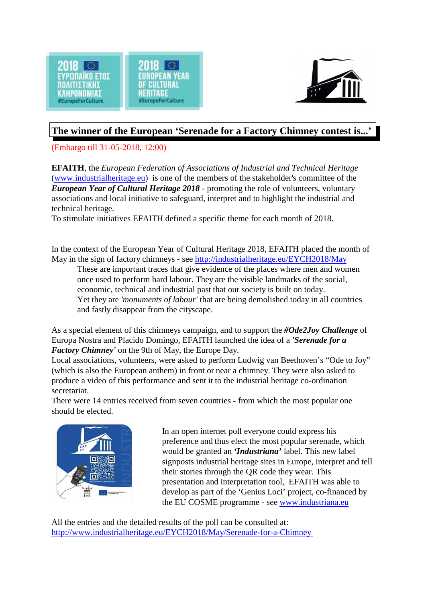



## **The winner of the European 'Serenade for a Factory Chimney contest is...'**

(Embargo till 31-05-2018, 12:00)

**EFAITH**, the *European Federation of Associations of Industrial and Technical Heritage* [\(www.industrialheritage.eu](http://www.industrialheritage.eu))) is one of the members of the stakeholder's committee of the *European Year of Cultural Heritage 2018* - promoting the role of volunteers, voluntary associations and local initiative to safeguard, interpret and to highlight the industrial and technical heritage.

To stimulate initiatives EFAITH defined a specific theme for each month of 2018.

In the context of the European Year of Cultural Heritage 2018, EFAITH placed the month of May in the sign of factory chimneys - see<http://industrialheritage.eu/EYCH2018/May>

These are important traces that give evidence of the places where men and women once used to perform hard labour. They are the visible landmarks of the social, economic, technical and industrial past that our society is built on today. Yet they are *'monuments of labour'* that are being demolished today in all countries and fastly disappear from the cityscape.

As a special element of this chimneys campaign, and to support the *#Ode2Joy Challenge* of Europa Nostra and Placido Domingo, EFAITH launched the idea of a *'Serenade for a Factory Chimney'* on the 9th of May, the Europe Day.

Local associations, volunteers, were asked to perform Ludwig van Beethoven's "Ode to Joy" (which is also the European anthem) in front or near a chimney. They were also asked to produce a video of this performance and sent it to the industrial heritage co-ordination secretariat.

There were 14 entries received from seven countries - from which the most popular one should be elected.



In an open internet poll everyone could express his preference and thus elect the most popular serenade, which would be granted an *'Industriana'* label. This new label signposts industrial heritage sites in Europe, interpret and tell their stories through the QR code they wear. This presentation and interpretation tool, EFAITH was able to develop as part of the 'Genius Loci' project, co-financed by the EU COSME programme - see [www.industriana.eu](http://www.industriana.eu)

All the entries and the detailed results of the poll can be consulted at: [http://www.industrialheritage.eu/EYCH2018/May/Serenade-for-a-Chimney](http://www.industrialheritage.eu/EYCH2018/May/Serenade-for-a-Chimney%20)